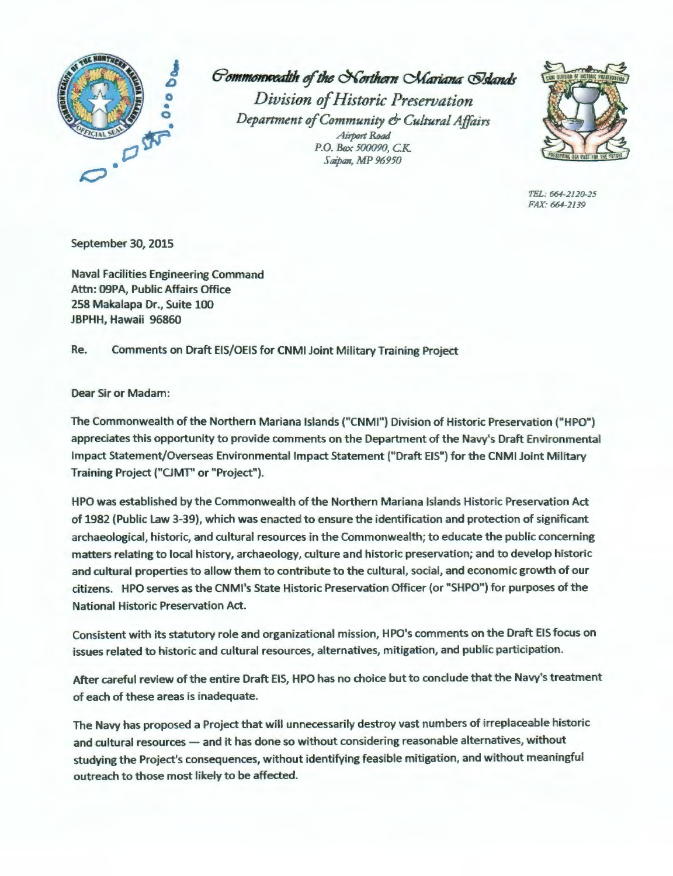

 $G$ ommonweadth of the Northern *CMariana* @Islands

*Division of Historic Preservation Department of Community* & *Cultural Affairs Airport Road P.O. Box 500090, CK. Saipan, MP 96950* 



*TEL: 664-2120-25 FAX: 664-2139* 

September 30, 2015

Naval Facilities Engineering Command Attn: 09PA, Public Affairs Office 258 Makalapa Dr., Suite 100 JBPHH, Hawaii 96860

Re. Comments on Draft EIS/OEIS for CNMI Joint Military Training Project

Dear Sir or Madam:

The Commonwealth of the Northern Mariana Islands ("CNMI") Division of Historic Preservation ("HPO") appreciates this opportunity to provide comments on the Department of the Navy's Draft Environmental Impact Statement/Overseas Environmental Impact Statement ("Draft EIS") for the CNMI Joint Military Training Project ("CJMT" or "Project").

HPO was established by the Commonwealth of the Northern Mariana Islands Historic Preservation Act of 1982 (Public Law 3-39), which was enacted to ensure the identification and protection of significant archaeological, historic, and cultural resources in the Commonwealth; to educate the public concerning matters relating to local history, archaeology, culture and historic preservation; and to develop historic and cultural properties to allow them to contribute to the cultural, social, and economic growth of our citizens. HPO serves as the CNMl's State Historic Preservation Officer (or "SHPO") for purposes of the National Historic Preservation Act.

Consistent with its statutory role and organizational mission, HPO's comments on the Draft EIS focus on issues related to historic and cultural resources, alternatives, mitigation, and public participation.

After careful review of the entire Draft EIS, HPO has no choice but to conclude that the Navy's treatment of each of these areas is inadequate.

The Navy has proposed a Project that will unnecessarily destroy vast numbers of irreplaceable historic and cultural resources - and it has done so without considering reasonable alternatives, without studying the Project's consequences, without identifying feasible mitigation, and without meaningful outreach to those most likely to be affected.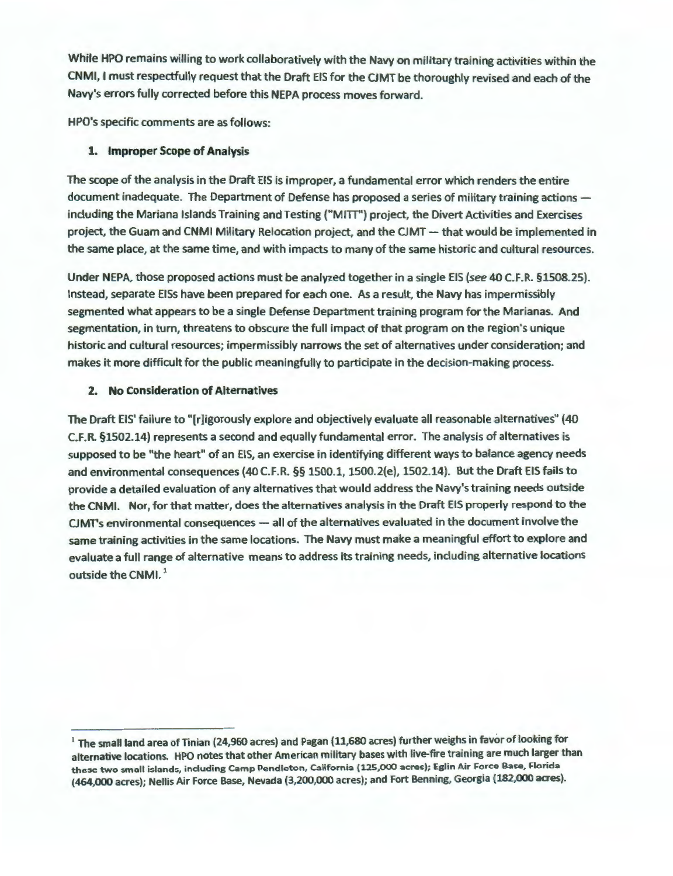While HPO remains willing to work collaboratively with the Navy on military training activities within the CNMI, I must respectfully request that the Draft EIS for the CJMT be thoroughly revised and each of the Navy's errors fully corrected before this NEPA process moves forward.

HPO's specific comments are as follows:

# **1. Improper Scope of Analysis**

The scope of the analysis in the Draft EIS is improper, a fundamental error which renders the entire document inadequate. The Department of Defense has proposed a series of military training actions including the Mariana Islands Training and Testing ("MITI") project, the Divert Activities and Exercises project, the Guam and CNMI Military Relocation project, and the CJMT - that would be implemented in the same place, at the same time, and with impacts to many of the same historic and cultural resources.

Under NEPA, those proposed actions must be analyzed together in a single EIS (see 40 C.F.R. §1508.25). Instead, separate EISs have been prepared for each one. As a result, the Navy has impermissibly segmented what appears to be a single Defense Department training program for the Marianas. And segmentation, in turn, threatens to obscure the full impact of that program on the region's unique historic and cultural resources; impermissibly narrows the set of alternatives under consideration; and makes it more difficult for the public meaningfully to participate in the decision-making process.

### **2. No Consideration of Alternatives**

The Draft EIS' failure to "[r]igorously explore and objectively evaluate all reasonable alternatives" (40 C.F.R. §1502.14) represents a second and equally fundamental error. The analysis of alternatives is supposed to be "the heart" of an EIS, an exercise in identifying different ways to balance agency needs and environmental consequences (40 C.F.R. §§ 1500.1, 1500.2(e), 1502.14). But the Draft EIS fails to provide a detailed evaluation of any alternatives that would address the Navy's training needs outside the CNMI. Nor, for that matter, does the alternatives analysis in the Draft EIS properly respond to the CJMT's environmental consequences - all of the alternatives evaluated in the document involve the same training activities in the same locations. The Navy must make a meaningful effort to explore and evaluate a full range of alternative means to address its training needs, including alternative locations outside the CNMI.<sup>1</sup>

 $1$  The small land area of Tinian (24,960 acres) and Pagan (11,680 acres) further weighs in favor of looking for alternative locations. HPO notes that other American military bases with live-fire training are much larger than these two small islands, including Camp Pendleton, California (125,000 acres); Eglin Air Force Base, Florida (464,000 acres); Nellis Air Force Base, Nevada (3,200,000 acres); and Fort Benning, Georgia (182,000 acres).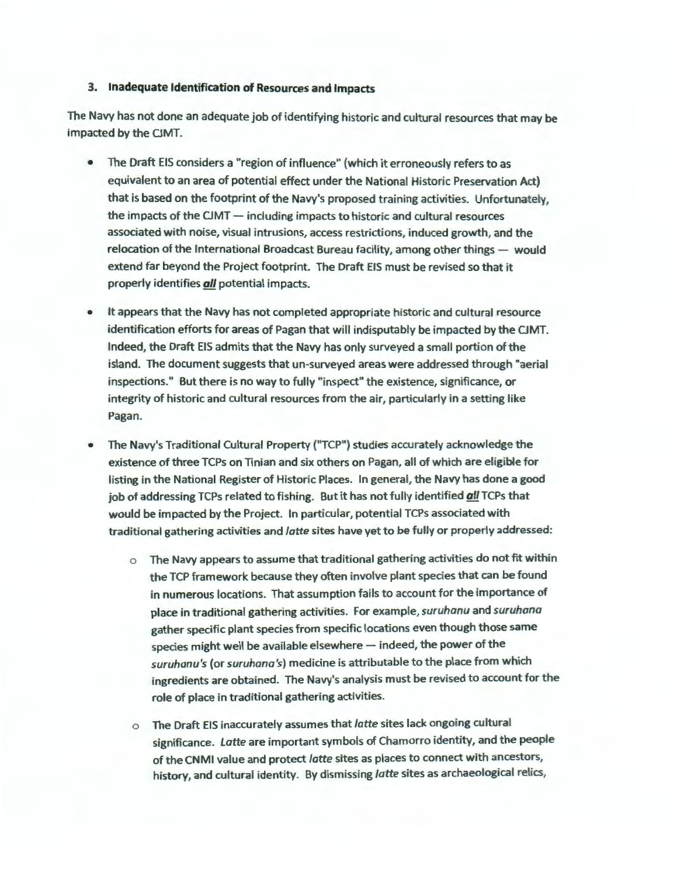#### **3. Inadequate Identification of Resources and Impacts**

The Navy has not done an adequate job of identifying historic and cultural resources that may be impacted by the CJMT.

- The Draft EIS considers a "region of influence" (which it erroneously refers to as equivalent to an area of potential effect under the National Historic Preservation Act) that is based on the footprint of the Navy's proposed training activities. Unfortunately, the impacts of the CJMT  $-$  including impacts to historic and cultural resources associated with noise, visual intrusions, access restrictions, induced growth, and the relocation of the International Broadcast Bureau facility, among other things  $-$  would extend far beyond the Project footprint. The Draft EIS must be revised so that it properly identifies **all** potential impacts.
- It appears that the Navy has not completed appropriate historic and cultural resource identification efforts for areas of Pagan that will indisputably be impacted by the CJMT. Indeed, the Draft EIS admits that the Navy has only surveyed a small portion of the island. The document suggests that un-surveyed areas were addressed through "aerial inspections." But there is no way to fully "inspect" the existence, significance, or integrity of historic and cultural resources from the air, particularly in a setting like Pagan.
- The Navy's Traditional Cultural Property ("TCP") studies accurately acknowledge the existence of three TCPs on Tinian and six others on Pagan, all of which are eligible for listing in the National Register of Historic Places. In general, the Navy has done a good job of addressing TCPs related to fishing. But it has not fully identified **all** TCPs that would be impacted by the Project. In particular, potential TCPs associated with traditional gathering activities and *latte* sites have yet to be fully or properly addressed:
	- o The Navy appears to assume that traditional gathering activities do not fit within the TCP framework because they often involve plant species that can be found in numerous locations. That assumption fails to account for the importance of place in traditional gathering activities. For example, *suruhanu* and *suruhana*  gather specific plant species from specific locations even though those same species might well be available elsewhere  $-$  indeed, the power of the *suruhanu's* (or *suruhana's)* medicine is attributable to the place from which ingredients are obtained. The Navy's analysis must be revised to account for the role of place in traditional gathering activities.
	- 0 The Draft EIS inaccurately assumes that *latte* sites lack ongoing cultural significance. *Latte* are important symbols of Chamorro identity, and the people of the CNMI value and protect *latte* sites as places to connect with ancestors, history, and cultural identity. By dismissing *latte* sites as archaeological relics,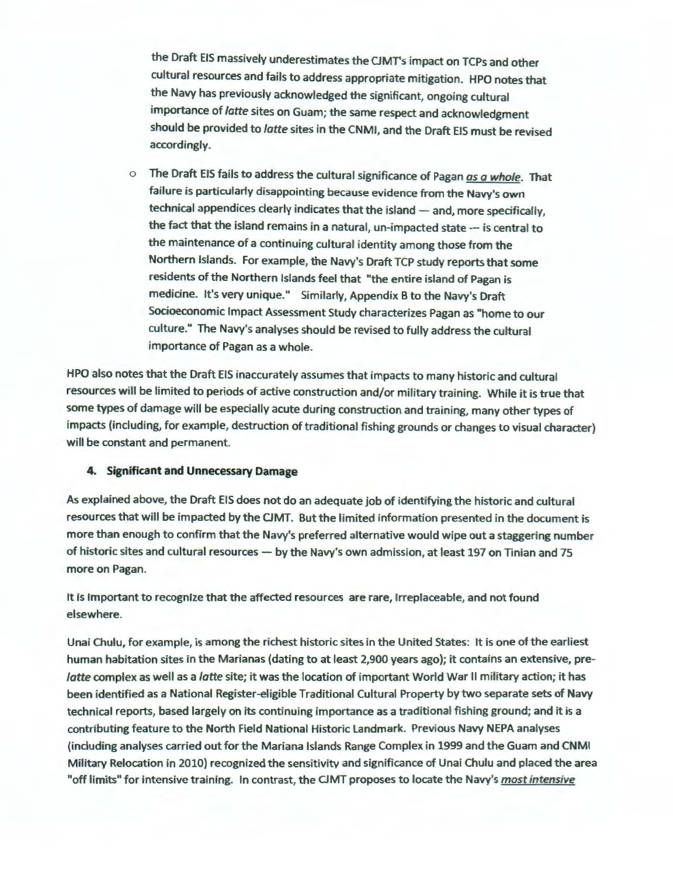the Draft EIS massively underestimates the CJMT's impact on TCPs and other cultural resources and fails to address appropriate mitigation. HPO notes that the Navy has previously acknowledged the significant, ongoing cultural importance of *latte* sites on Guam; the same respect and acknowledgment should be provided to *latte* sites in the CNMI, and the Draft EIS must be revised accordingly.

o The Draft EIS fails to address the cultural significance of Pagan *as a whole.* That failure is particularly disappointing because evidence from the Navy's own technical appendices clearly indicates that the island - and, more specifically, the fact that the island remains in a natural, un-impacted state  $-$  is central to the maintenance of a continuing cultural identity among those from the Northern Islands. For example, the Navy's Draft TCP study reports that some residents of the Northern Islands feel that "the entire island of Pagan is medicine. It's very unique." Similarly, Appendix B to the Navy's Draft Socioeconomic Impact Assessment Study characterizes Pagan as "home to our culture." The Navy's analyses should be revised to fully address the cultural importance of Pagan as a whole.

HPO also notes that the Draft EIS inaccurately assumes that impacts to many historic and cultural resources will be limited to periods of active construction and/or military training. While it is true that some types of damage will be especially acute during construction and training, many other types of impacts (including, for example, destruction of traditional fishing grounds or changes to visual character) will be constant and permanent.

### **4. Significant and Unnecessary Damage**

As explained above, the Draft EIS does not do an adequate job of identifying the historic and cultural resources that will be impacted by the CJMT. But the limited information presented in the document is more than enough to confirm that the Navy's preferred alternative would wipe out a staggering number of historic sites and cultural resources - by the Navy's own admission, at least 197 on Tinian and 75 more on Pagan.

It is important to recognize that the affected resources are rare, irreplaceable, and not found elsewhere.

Unai Chulu, for example, is among the richest historic sites in the United States: It is one of the earliest human habitation sites in the Marianas (dating to at least 2,900 years ago); it contains an extensive, pre*latte* complex as well as a *latte* site; it was the location of important World War II military action; it has been identified as a National Register-eligible Traditional Cultural Property by two separate sets of Navy technical reports, based largely on its continuing importance as a traditional fishing ground; and it is a contributing feature to the North Field National Historic Landmark. Previous Navy NEPA analyses (including analyses carried out for the Mariana Islands Range Complex in 1999 and the Guam and CNMI Military Relocation in 2010) recognized the sensitivity and significance of Unai Chulu and placed the area "off limits" for intensive training. In contrast, the CJMT proposes to locate the Navy's *most intensive*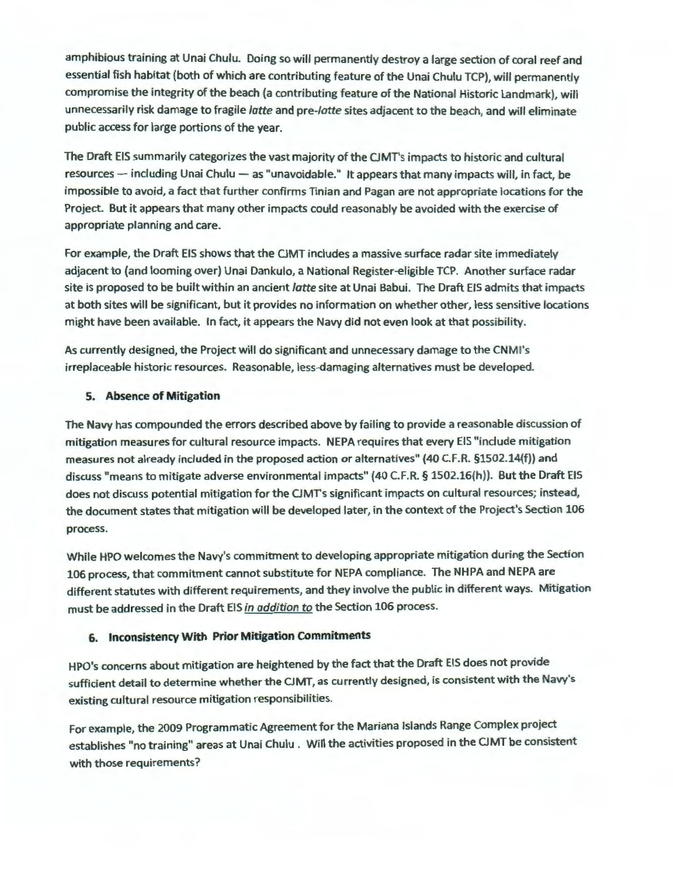amphibious training at Unai Chulu. Doing so will permanently destroy a large section of coral reef and essential fish habitat (both of which are contributing feature of the Unai Chulu TCP), will permanently compromise the integrity of the beach (a contributing feature of the National Historic Landmark), will unnecessarily risk damage to fragile latte and pre-latte sites adjacent to the beach, and will eliminate public access for large portions of the year.

The Draft EIS summarily categorizes the vast majority of the CJMT's impacts to historic and cultural resources - including Unai Chulu - as "unavoidable." It appears that many impacts will, in fact, be impossible to avoid, a fact that further confirms Tinian and Pagan are not appropriate locations for the Project. But it appears that many other impacts could reasonably be avoided with the exercise of appropriate planning and care.

For example, the Draft EIS shows that the CJMT includes a massive surface radar site immediately adjacent to (and looming over) Unai Dankulo, a National Register-eligible TCP. Another surface radar site is proposed to be built within an ancient *latte* site at Unai Babui. The Draft EIS admits that impacts at both sites will be significant, but it provides no information on whether other, less sensitive locations might have been available. In fact, it appears the Navy did not even look at that possibility.

As currently designed, the Project will do significant and unnecessary damage to the CNMl's irreplaceable historic resources. Reasonable, less-damaging alternatives must be developed.

### **5. Absence of Mitigation**

The Navy has compounded the errors described above by failing to provide a reasonable discussion of mitigation measures for cultural resource impacts. NEPA requires that every EIS "include mitigation measures not already included in the proposed action or alternatives" (40 C.F.R. §1502.14(f)) and discuss "means to mitigate adverse environmental impacts" (40 C.F.R. § 1502.16(h)). But the Draft EIS does not discuss potential mitigation for the CJMT's significant impacts on cultural resources; instead, the document states that mitigation will be developed later, in the context of the Project's Section 106 process.

While HPO welcomes the Navy's commitment to developing appropriate mitigation during the Section 106 process, that commitment cannot substitute for NEPA compliance. The NHPA and NEPA are different statutes with different requirements, and they involve the public in different ways. Mitigation must be addressed in the Draft EIS *in addition to* the Section 106 process.

# **6. Inconsistency With Prior Mitigation Commitments**

HPO's concerns about mitigation are heightened by the fact that the Draft EIS does not provide sufficient detail to determine whether the CJMT, as currently designed, is consistent with the Navy's existing cultural resource mitigation responsibilities.

For example, the 2009 Programmatic Agreement for the Mariana Islands Range Complex project establishes "no training" areas at Unai Chulu. Will the activities proposed in the CJMT be consistent with those requirements?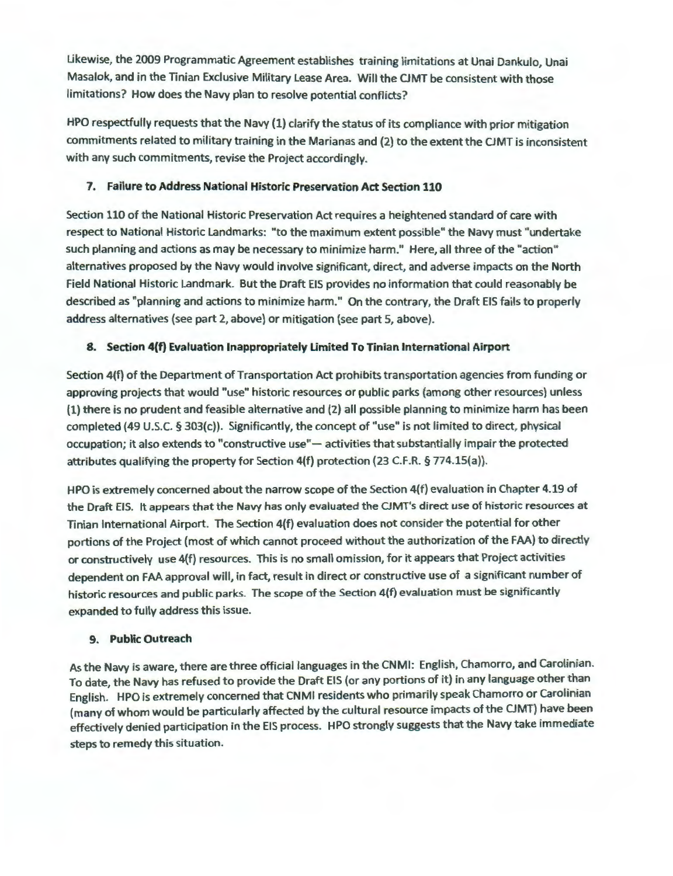Likewise, the 2009 Programmatic Agreement establishes training limitations at Unai Dankulo, Unai Masalok, and in the Tinian Exclusive Military Lease Area. Will the CJMT be consistent with those limitations? How does the Navy plan to resolve potential conflicts?

HPO respectfully requests that the Navy (1) clarify the status of its compliance with prior mitigation commitments related to military training in the Marianas and (2) to the extent the CJMT is inconsistent with any such commitments, revise the Project accordingly.

### 7. Failure to Address National Historic Preservation Act Section 110

Section 110 of the National Historic Preservation Act requires a heightened standard of care with respect to National Historic Landmarks: "to the maximum extent possible" the Navy must "undertake such planning and actions as may be necessary to minimize harm." Here, all three of the "action" alternatives proposed by the Navy would involve significant, direct, and adverse impacts on the North Field National Historic Landmark. But the Draft EIS provides no information that could reasonably be described as "planning and actions to minimize harm." On the contrary, the Draft EIS fails to properly address alternatives (see part 2, above) or mitigation (see part 5, above).

# 8. Section 4{f) Evaluation Inappropriately Limited To Tinian International Airport

Section 4(f) of the Department of Transportation Act prohibits transportation agencies from funding or approving projects that would "use" historic resources or public parks (among other resources) unless (1) there is no prudent and feasible alternative and (2) all possible planning to minimize harm has been completed (49 U.S.C. § 303(c)). Significantly, the concept of "use" is not limited to direct, physical occupation; it also extends to "constructive use"- activities that substantially impair the protected attributes qualifying the property for Section 4(f) protection (23 C.F.R. § 774.lS(a)).

HPO is extremely concerned about the narrow scope of the Section 4(f) evaluation in Chapter 4.19 of the Draft EIS. It appears that the Navy has only evaluated the CJMT's direct use of historic resources at Tinian International Airport. The Section 4(f) evaluation does not consider the potential for other portions of the Project (most of which cannot proceed without the authorization of the FAA) to directly or constructively use 4(f) resources. This is no small omission, for it appears that Project activities dependent on FAA approval will, in fact, result in direct or constructive use of a significant number of historic resources and public parks. The scope of the Section 4(f) evaluation must be significantly expanded to fully address this issue.

# 9. Public Outreach

As the Navy is aware, there are three official languages in the CNMI: English, Chamorro, and Carolinian. To date, the Navy has refused to provide the Draft EIS (or any portions of it) in any language other than English. HPO is extremely concerned that CNMI residents who primarily speak Chamorro or Carolinian (many of whom would be particularly affected by the cultural resource impacts of the CJMT) have been effectively denied participation in the EIS process. HPO strongly suggests that the Navy take immediate steps to remedy this situation.